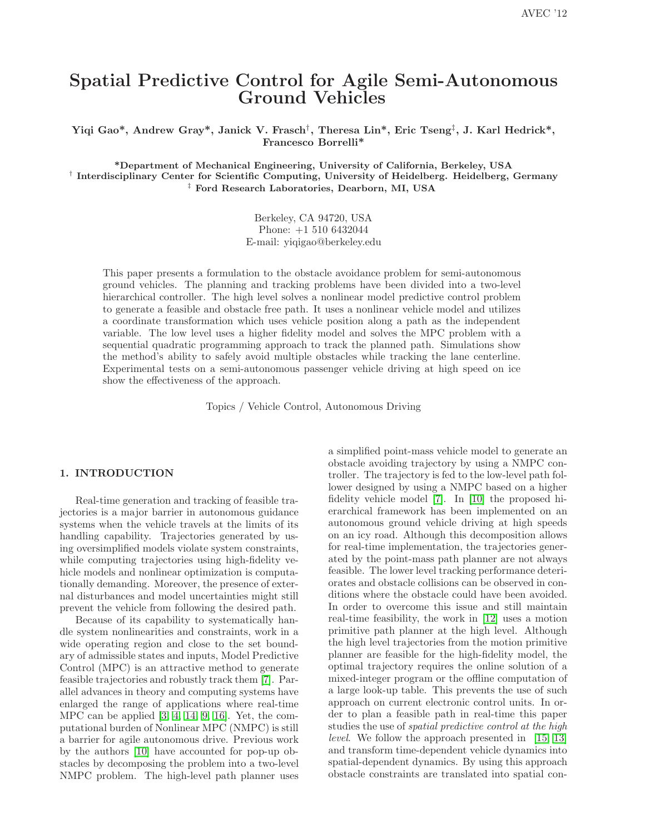# Spatial Predictive Control for Agile Semi-Autonomous Ground Vehicles

Yiqi Gao\*, Andrew Gray\*, Janick V. Frasch† , Theresa Lin\*, Eric Tseng‡ , J. Karl Hedrick\*, Francesco Borrelli\*

\*Department of Mechanical Engineering, University of California, Berkeley, USA <sup>†</sup> Interdisciplinary Center for Scientific Computing, University of Heidelberg. Heidelberg, Germany ‡ Ford Research Laboratories, Dearborn, MI, USA

> Berkeley, CA 94720, USA Phone: +1 510 6432044 E-mail: yiqigao@berkeley.edu

This paper presents a formulation to the obstacle avoidance problem for semi-autonomous ground vehicles. The planning and tracking problems have been divided into a two-level hierarchical controller. The high level solves a nonlinear model predictive control problem to generate a feasible and obstacle free path. It uses a nonlinear vehicle model and utilizes a coordinate transformation which uses vehicle position along a path as the independent variable. The low level uses a higher fidelity model and solves the MPC problem with a sequential quadratic programming approach to track the planned path. Simulations show the method's ability to safely avoid multiple obstacles while tracking the lane centerline. Experimental tests on a semi-autonomous passenger vehicle driving at high speed on ice show the effectiveness of the approach.

Topics / Vehicle Control, Autonomous Driving

#### 1. INTRODUCTION

Real-time generation and tracking of feasible trajectories is a major barrier in autonomous guidance systems when the vehicle travels at the limits of its handling capability. Trajectories generated by using oversimplified models violate system constraints, while computing trajectories using high-fidelity vehicle models and nonlinear optimization is computationally demanding. Moreover, the presence of external disturbances and model uncertainties might still prevent the vehicle from following the desired path.

Because of its capability to systematically handle system nonlinearities and constraints, work in a wide operating region and close to the set boundary of admissible states and inputs, Model Predictive Control (MPC) is an attractive method to generate feasible trajectories and robustly track them [\[7\]](#page-5-0). Parallel advances in theory and computing systems have enlarged the range of applications where real-time MPC can be applied [\[3,](#page-5-1) [4,](#page-5-2) [14,](#page-5-3) [9,](#page-5-4) [16\]](#page-5-5). Yet, the computational burden of Nonlinear MPC (NMPC) is still a barrier for agile autonomous drive. Previous work by the authors [\[10\]](#page-5-6) have accounted for pop-up obstacles by decomposing the problem into a two-level NMPC problem. The high-level path planner uses

a simplified point-mass vehicle model to generate an obstacle avoiding trajectory by using a NMPC controller. The trajectory is fed to the low-level path follower designed by using a NMPC based on a higher fidelity vehicle model [\[7\]](#page-5-0). In [\[10\]](#page-5-6) the proposed hierarchical framework has been implemented on an autonomous ground vehicle driving at high speeds on an icy road. Although this decomposition allows for real-time implementation, the trajectories generated by the point-mass path planner are not always feasible. The lower level tracking performance deteriorates and obstacle collisions can be observed in conditions where the obstacle could have been avoided. In order to overcome this issue and still maintain real-time feasibility, the work in [\[12\]](#page-5-7) uses a motion primitive path planner at the high level. Although the high level trajectories from the motion primitive planner are feasible for the high-fidelity model, the optimal trajectory requires the online solution of a mixed-integer program or the offline computation of a large look-up table. This prevents the use of such approach on current electronic control units. In order to plan a feasible path in real-time this paper studies the use of spatial predictive control at the high level. We follow the approach presented in [\[15,](#page-5-8) [13\]](#page-5-9) and transform time-dependent vehicle dynamics into spatial-dependent dynamics. By using this approach obstacle constraints are translated into spatial con-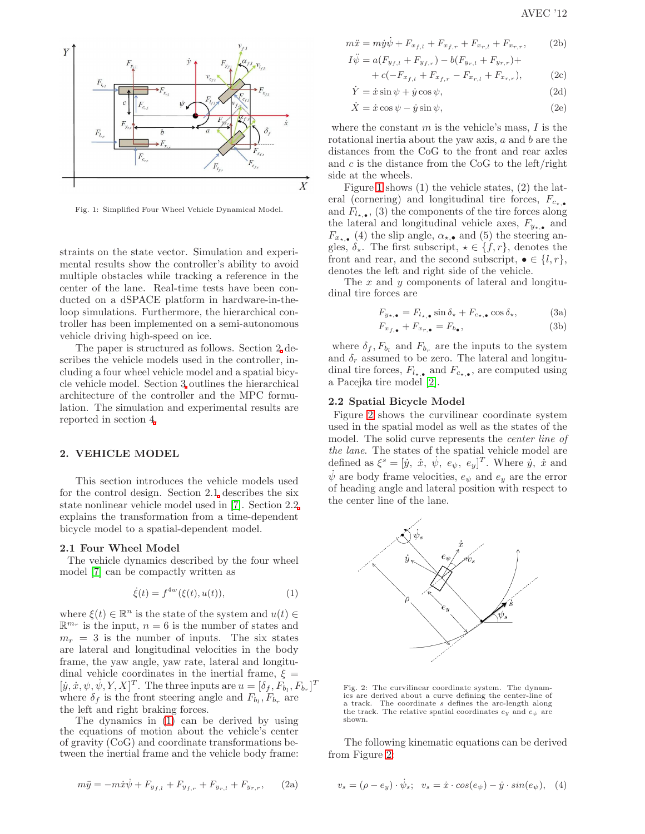

<span id="page-1-2"></span>Fig. 1: Simplified Four Wheel Vehicle Dynamical Model.

straints on the state vector. Simulation and experimental results show the controller's ability to avoid multiple obstacles while tracking a reference in the center of the lane. Real-time tests have been conducted on a dSPACE platform in hardware-in-theloop simulations. Furthermore, the hierarchical controller has been implemented on a semi-autonomous vehicle driving high-speed on ice.

The paper is structured as follows. Section 2 describes the vehicle models used in the controller, including a four wheel vehicle model and a spatial bicycle vehicle model. Section [3](#page-2-0) outlines the hierarchical architecture of the controller and the MPC formulation. The simulation and experimental results are reported in section [4.](#page-3-0)

#### 2. VEHICLE MODEL

This section introduces the vehicle models used for the control design. Section 2.1 describes the six state nonlinear vehicle model used in [\[7\]](#page-5-0). Section 2.[2](#page-1-0) explains the transformation from a time-dependent bicycle model to a spatial-dependent model.

#### 2.1 Four Wheel Model

The vehicle dynamics described by the four wheel model [\[7\]](#page-5-0) can be compactly written as

<span id="page-1-1"></span>
$$
\dot{\xi}(t) = f^{4w}(\xi(t), u(t)),
$$
\n(1)

where  $\xi(t) \in \mathbb{R}^n$  is the state of the system and  $u(t) \in$  $\mathbb{R}^{m_r}$  is the input,  $n = 6$  is the number of states and  $m_r = 3$  is the number of inputs. The six states are lateral and longitudinal velocities in the body frame, the yaw angle, yaw rate, lateral and longitudinal vehicle coordinates in the inertial frame,  $\xi =$  $[\dot{y}, \dot{x}, \psi, \dot{\psi}, Y, X]^T$ . The three inputs are  $u = [\delta_f, \dot{F_{b_l}}, F_{b_r}]^T$ where  $\delta_f$  is the front steering angle and  $F_{b_l}, F_{b_r}$  are the left and right braking forces.

The dynamics in [\(1\)](#page-1-1) can be derived by using the equations of motion about the vehicle's center of gravity (CoG) and coordinate transformations between the inertial frame and the vehicle body frame:

$$
m\ddot{y} = -m\dot{x}\dot{\psi} + F_{y_{f,l}} + F_{y_{f,r}} + F_{y_{r,l}} + F_{y_{r,r}}, \qquad (2a)
$$

$$
m\ddot{x} = m\dot{y}\dot{\psi} + F_{x_{f,l}} + F_{x_{f,r}} + F_{x_{r,l}} + F_{x_{r,r}},
$$
 (2b)

$$
I\ddot{\psi} = a(F_{y_{f,l}} + F_{y_{f,r}}) - b(F_{y_{r,l}} + F_{y_{r,r}}) + + c(-F_{x_{f,l}} + F_{x_{f,r}} - F_{x_{r,l}} + F_{x_{r,r}}),
$$
 (2c)

$$
\dot{Y} = \dot{x}\sin\psi + \dot{y}\cos\psi,\tag{2d}
$$

<span id="page-1-4"></span>
$$
\dot{X} = \dot{x}\cos\psi - \dot{y}\sin\psi,\tag{2e}
$$

where the constant  $m$  is the vehicle's mass,  $I$  is the rotational inertia about the yaw axis,  $a$  and  $b$  are the distances from the CoG to the front and rear axles and  $c$  is the distance from the CoG to the left/right side at the wheels.

Figure [1](#page-1-2) shows (1) the vehicle states, (2) the lateral (cornering) and longitudinal tire forces,  $F_{c_{\star,\bullet}}$ and  $F_{l_{\star,\bullet}},$  (3) the components of the tire forces along the lateral and longitudinal vehicle axes,  $F_{y_*}$ , and  $F_{x_{\star,\bullet}}$  (4) the slip angle,  $\alpha_{\star,\bullet}$  and (5) the steering angles,  $\delta_{\star}$ . The first subscript,  $\star \in \{f, r\}$ , denotes the front and rear, and the second subscript,  $\bullet \in \{l, r\},\$ denotes the left and right side of the vehicle.

The x and y components of lateral and longitudinal tire forces are

$$
F_{y_{\star,\bullet}} = F_{l_{\star,\bullet}} \sin \delta_{\star} + F_{c_{\star,\bullet}} \cos \delta_{\star}, \tag{3a}
$$

<span id="page-1-0"></span>
$$
F_{x_{f,\bullet}} + F_{x_{r,\bullet}} = F_{b_{\bullet}},\tag{3b}
$$

where  $\delta_f$ ,  $F_{b_l}$  and  $F_{b_r}$  are the inputs to the system and  $\delta_r$  assumed to be zero. The lateral and longitudinal tire forces,  $F_{l_{\star,\bullet}}$  and  $F_{c_{\star,\bullet}}$ , are computed using a Pacejka tire model [\[2\]](#page-5-10).

## 2.2 Spatial Bicycle Model

Figure [2](#page-1-3) shows the curvilinear coordinate system used in the spatial model as well as the states of the model. The solid curve represents the center line of the lane. The states of the spatial vehicle model are defined as  $\xi^s = [\dot{y}, \dot{x}, \dot{\psi}, e_{\psi}, e_{y}]^T$ . Where  $\dot{y}, \dot{x}$  and  $\dot{\psi}$  are body frame velocities,  $e_{\psi}$  and  $e_{\psi}$  are the error of heading angle and lateral position with respect to the center line of the lane.



<span id="page-1-3"></span>Fig. 2: The curvilinear coordinate system. The dynamics are derived about a curve defining the center-line of a track. The coordinate s defines the arc-length along the track. The relative spatial coordinates  $e_y$  and  $e_{\psi}$  are shown.

The following kinematic equations can be derived from Figure [2:](#page-1-3)

$$
v_s = (\rho - e_y) \cdot \dot{\psi}_s; \quad v_s = \dot{x} \cdot \cos(e_\psi) - \dot{y} \cdot \sin(e_\psi), \quad (4)
$$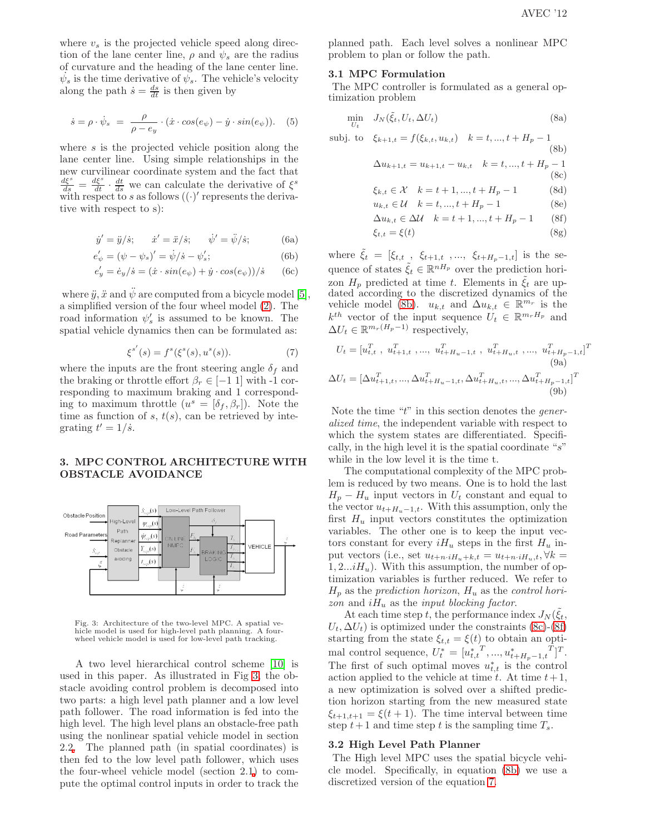where  $v<sub>s</sub>$  is the projected vehicle speed along direction of the lane center line,  $\rho$  and  $\psi_s$  are the radius of curvature and the heading of the lane center line.  $\dot{\psi}_s$  is the time derivative of  $\dot{\psi}_s$ . The vehicle's velocity along the path  $\dot{s} = \frac{ds}{dt}$  is then given by

$$
\dot{s} = \rho \cdot \dot{\psi}_s = \frac{\rho}{\rho - e_y} \cdot (\dot{x} \cdot \cos(e_\psi) - \dot{y} \cdot \sin(e_\psi)). \quad (5)
$$

where s is the projected vehicle position along the lane center line. Using simple relationships in the new curvilinear coordinate system and the fact that  $\frac{d\xi^{s}}{ds} = \frac{d\xi^{s}}{dt} \cdot \frac{dt}{ds}$  we can calculate the derivative of  $\xi^{s}$ with respect to s as follows  $((\cdot)'$  represents the derivative with respect to s):

$$
\dot{y}' = \ddot{y}/\dot{s}; \qquad \dot{x}' = \ddot{x}/\dot{s}; \qquad \dot{\psi}' = \ddot{\psi}/\dot{s}; \tag{6a}
$$

$$
e'_{\psi} = (\psi - \psi_s)' = \dot{\psi}/\dot{s} - \psi'_s; \tag{6b}
$$

$$
e'_y = \dot{e}_y/\dot{s} = (\dot{x} \cdot \sin(e_\psi) + \dot{y} \cdot \cos(e_\psi))/\dot{s} \qquad (6c)
$$

where  $\ddot{y}, \ddot{x}$  and  $\ddot{\psi}$  are computed from a bicycle model [\[5\]](#page-5-11), a simplified version of the four wheel model [\(2\)](#page-1-4). The road information  $\psi_s'$  is assumed to be known. The spatial vehicle dynamics then can be formulated as:

<span id="page-2-0"></span>
$$
\xi^{s'}(s) = f^s(\xi^s(s), u^s(s)).
$$
\n(7)

where the inputs are the front steering angle  $\delta_f$  and the braking or throttle effort  $\beta_r \in [-1 \; 1]$  with -1 corresponding to maximum braking and 1 corresponding to maximum throttle  $(u^s = [\delta_f, \beta_r])$ . Note the time as function of s,  $t(s)$ , can be retrieved by integrating  $t' = 1/\dot{s}$ .

# 3. MPC CONTROL ARCHITECTURE WITH OBSTACLE AVOIDANCE



<span id="page-2-1"></span>Fig. 3: Architecture of the two-level MPC. A spatial vehicle model is used for high-level path planning. A fourwheel vehicle model is used for low-level path tracking.

A two level hierarchical control scheme [\[10\]](#page-5-6) is used in this paper. As illustrated in Fig [3,](#page-2-1) the obstacle avoiding control problem is decomposed into two parts: a high level path planner and a low level path follower. The road information is fed into the high level. The high level plans an obstacle-free path using the nonlinear spatial vehicle model in section 2.[2.](#page-1-0) The planned path (in spatial coordinates) is then fed to the low level path follower, which uses the four-wheel vehicle model (section 2.1) to compute the optimal control inputs in order to track the

planned path. Each level solves a nonlinear MPC problem to plan or follow the path.

#### 3.1 MPC Formulation

The MPC controller is formulated as a general optimization problem

<span id="page-2-6"></span><span id="page-2-5"></span><span id="page-2-4"></span><span id="page-2-3"></span><span id="page-2-2"></span>
$$
\min_{U_t} J_N(\tilde{\xi}_t, U_t, \Delta U_t) \tag{8a}
$$

$$
\text{subj. to } \xi_{k+1,t} = f(\xi_{k,t}, u_{k,t}) \quad k = t, ..., t + H_p - 1 \tag{8b}
$$
\n
$$
\Delta u_{k+1,t} = u_{k+1,t} - u_{k,t} \quad k = t, ..., t + H_p - 1 \tag{8c}
$$
\n
$$
\xi_{k,t} \in \mathcal{X} \quad k = t + 1, ..., t + H_p - 1 \tag{8d}
$$
\n
$$
u_{k,t} \in \mathcal{U} \quad k = t, ..., t + H_p - 1 \tag{8e}
$$
\n
$$
\Delta u_{k,t} \in \Delta \mathcal{U} \quad k = t + 1, ..., t + H_p - 1 \tag{8f}
$$
\n
$$
\xi_{t,t} = \xi(t) \tag{8g}
$$

where  $\tilde{\xi}_t\ =\ [\xi_{t,t}\,$  ,  $\ \xi_{t+1,t}\,$  ,…,  $\ \xi_{t+H_p-1,t}]\,$  is the sequence of states  $\tilde{\xi}_t \in \mathbb{R}^{nH_p}$  over the prediction horizon  $H_p$  predicted at time t. Elements in  $\tilde{\xi}_t$  are updated according to the discretized dynamics of the vehicle model [\(8b\)](#page-2-2).  $u_{k,t}$  and  $\Delta u_{k,t} \in \mathbb{R}^{m_r}$  is the  $k^{th}$  vector of the input sequence  $U_t \in \mathbb{R}^{m_r H_p}$  and  $\Delta U_t \in \mathbb{R}^{m_r(H_p-1)}$  respectively,

$$
U_t = [u_{t,t}^T, u_{t+1,t}^T, ..., u_{t+H_u-1,t}^T, u_{t+H_u,t}^T, ..., u_{t+H_p-1,t}^T]^T
$$
\n(9a)  
\n
$$
\Delta U_t = [\Delta u_{t+1,t}^T, ..., \Delta u_{t+H_u-1,t}^T, \Delta u_{t+H_u,t}^T, ..., \Delta u_{t+H_p-1,t}^T]^T
$$
\n(9b)

<span id="page-2-7"></span>Note the time " $t$ " in this section denotes the *gener*alized time, the independent variable with respect to which the system states are differentiated. Specifically, in the high level it is the spatial coordinate "s" while in the low level it is the time t.

The computational complexity of the MPC problem is reduced by two means. One is to hold the last  $H_p - H_u$  input vectors in  $U_t$  constant and equal to the vector  $u_{t+H_u-1,t}$ . With this assumption, only the first  $H_u$  input vectors constitutes the optimization variables. The other one is to keep the input vectors constant for every  $iH_u$  steps in the first  $H_u$  input vectors (i.e., set  $u_{t+n\cdot iH_u+k,t} = u_{t+n\cdot iH_u,t}, \forall k =$  $1, 2...iH_u$ ). With this assumption, the number of optimization variables is further reduced. We refer to  $H_p$  as the prediction horizon,  $H_u$  as the control horizon and  $iH_u$  as the *input blocking factor*.

At each time step t, the performance index  $J_N(\tilde{\xi}_t)$ ,  $U_t, \Delta U_t$ ) is optimized under the constraints [\(8c\)](#page-2-3)-[\(8f\)](#page-2-4) starting from the state  $\xi_{t,t} = \xi(t)$  to obtain an optimal control sequence,  $U_t^* = [u_{t,t}^*, ..., u_{t+H_p-1,t}^*]^T$ . The first of such optimal moves  $u_{t,t}^*$  is the control action applied to the vehicle at time t. At time  $t+1$ , a new optimization is solved over a shifted prediction horizon starting from the new measured state  $\xi_{t+1,t+1} = \xi(t+1)$ . The time interval between time step  $t+1$  and time step t is the sampling time  $T_s$ .

#### 3.2 High Level Path Planner

The High level MPC uses the spatial bicycle vehicle model. Specifically, in equation [\(8b\)](#page-2-2) we use a discretized version of the equation [7.](#page-2-0)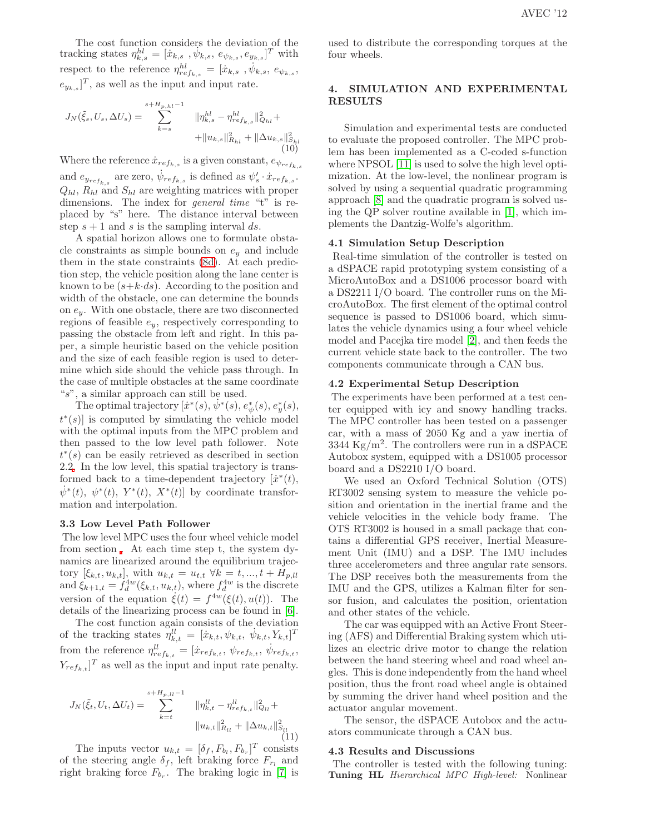The cost function considers the deviation of the tracking states  $\eta_{k,s}^{hl} = [\dot{x}_{k,s}, \dot{\psi}_{k,s}, e_{\psi_{k,s}}, e_{y_{k,s}}]^T$  with respect to the reference  $\eta^{hl}_{ref_{k,s}} = [\dot{x}_{k,s}, \dot{\psi}_{k,s}, e_{\psi_{k,s}},$  $e_{y_{k,s}}]^T$ , as well as the input and input rate.

<span id="page-3-1"></span>
$$
J_N(\tilde{\xi}_s, U_s, \Delta U_s) = \sum_{k=s}^{s+H_{p,hl}-1} \|\eta_{k,s}^{hl} - \eta_{ref_{k,s}}^{hl}\|_{Q_{hl}}^2 + \|\|u_{k,s}\|_{R_{hl}}^2 + \|\Delta u_{k,s}\|_{S_{hl}}^2
$$
\n(10)

Where the reference  $\dot{x}_{ref_{k,s}}$  is a given constant,  $e_{\psi_{ref_{k,s}}}$ 

and  $e_{y_{ref_{k,s}}}$  are zero,  $\dot{\psi}_{ref_{k,s}}$  is defined as  $\psi'_{s} \cdot \dot{x}_{ref_{k,s}}$ .  $Q_{hl}$ ,  $R_{hl}$  and  $S_{hl}$  are weighting matrices with proper dimensions. The index for general time "t" is replaced by "s" here. The distance interval between step  $s + 1$  and s is the sampling interval ds.

A spatial horizon allows one to formulate obstacle constraints as simple bounds on  $e_y$  and include them in the state constraints [\(8d\)](#page-2-5). At each prediction step, the vehicle position along the lane center is known to be  $(s+k\cdot ds)$ . According to the position and width of the obstacle, one can determine the bounds on  $e_y$ . With one obstacle, there are two disconnected regions of feasible  $e_y$ , respectively corresponding to passing the obstacle from left and right. In this paper, a simple heuristic based on the vehicle position and the size of each feasible region is used to determine which side should the vehicle pass through. In the case of multiple obstacles at the same coordinate "s", a similar approach can still be used.

The optimal trajectory  $[\dot{x}^*(s), \dot{\psi}^*(s), e^*_\psi(s), e^*_y(s)]$  $t^{*}(s)$  is computed by simulating the vehicle model with the optimal inputs from the MPC problem and then passed to the low level path follower. Note  $t^*(s)$  can be easily retrieved as described in section 2.[2.](#page-1-0) In the low level, this spatial trajectory is transformed back to a time-dependent trajectory  $[\dot{x}^*(t)]$ ,  $\dot{\psi}^*(t), \psi^*(t), Y^*(t), X^*(t)$  by coordinate transformation and interpolation.

#### 3.3 Low Level Path Follower

The low level MPC uses the four wheel vehicle model from section . At each time step t, the system dynamics are linearized around the equilibrium trajectory  $[\xi_{k,t}, u_{k,t}]$ , with  $u_{k,t} = u_{t,t} \ \forall k = t, ..., t + H_{p,ll}$ and  $\xi_{k+1,t} = \hat{f}_d^{\text{4w}}(\xi_{k,t}, u_{k,t}),$  where  $f_d^{\text{4w}}$  is the discrete version of the equation  $\dot{\xi}(t) = f^{4w}(\xi(t), u(t))$ . The details of the linearizing process can be found in [\[6\]](#page-5-12).

The cost function again consists of the deviation of the tracking states  $\ddot{\eta}_{k,t}^{ll} = [\dot{x}_{k,t}, \psi_{k,t}, \dot{\psi}_{k,t}, Y_{k,t}]^{T}$ from the reference  $\eta_{ref_{k,t}}^{ll} = [\dot{x}_{ref_{k,t}}, \psi_{ref_{k,t}}, \dot{\psi}_{ref_{k,t}},$  $Y_{ref_{k,t}}]^T$  as well as the input and input rate penalty.

<span id="page-3-0"></span>
$$
J_N(\tilde{\xi}_t, U_t, \Delta U_t) = \sum_{k=t}^{s+H_{p,lt}-1} \|\eta_{k,t}^{ll} - \eta_{ref_{k,t}}^{ll}\|_{Q_{ll}}^2 + \|\eta_{k,t}^{ll}\|_{H_{ll}}^2 + \|\Delta u_{k,t}\|_{S_{ll}}^2
$$
\n(11)

The inputs vector  $u_{k,t} = [\delta_f, F_{b_l}, F_{b_r}]^T$  consists of the steering angle  $\delta_f$ , left braking force  $F_{r_l}$  and right braking force  $F_{b_r}$ . The braking logic in [\[7\]](#page-5-0) is used to distribute the corresponding torques at the four wheels.

# 4. SIMULATION AND EXPERIMENTAL RESULTS

Simulation and experimental tests are conducted to evaluate the proposed controller. The MPC problem has been implemented as a C-coded s-function where NPSOL [\[11\]](#page-5-13) is used to solve the high level optimization. At the low-level, the nonlinear program is solved by using a sequential quadratic programming approach [\[8\]](#page-5-14) and the quadratic program is solved using the QP solver routine available in [\[1\]](#page-5-15), which implements the Dantzig-Wolfe's algorithm.

# 4.1 Simulation Setup Description

Real-time simulation of the controller is tested on a dSPACE rapid prototyping system consisting of a MicroAutoBox and a DS1006 processor board with a DS2211 I/O board. The controller runs on the MicroAutoBox. The first element of the optimal control sequence is passed to DS1006 board, which simulates the vehicle dynamics using a four wheel vehicle model and Pacejka tire model [\[2\]](#page-5-10), and then feeds the current vehicle state back to the controller. The two components communicate through a CAN bus.

# 4.2 Experimental Setup Description

The experiments have been performed at a test center equipped with icy and snowy handling tracks. The MPC controller has been tested on a passenger car, with a mass of 2050 Kg and a yaw inertia of  $3344 \text{ Kg/m}^2$ . The controllers were run in a dSPACE Autobox system, equipped with a DS1005 processor board and a DS2210 I/O board.

We used an Oxford Technical Solution (OTS) RT3002 sensing system to measure the vehicle position and orientation in the inertial frame and the vehicle velocities in the vehicle body frame. The OTS RT3002 is housed in a small package that contains a differential GPS receiver, Inertial Measurement Unit (IMU) and a DSP. The IMU includes three accelerometers and three angular rate sensors. The DSP receives both the measurements from the IMU and the GPS, utilizes a Kalman filter for sensor fusion, and calculates the position, orientation and other states of the vehicle.

The car was equipped with an Active Front Steering (AFS) and Differential Braking system which utilizes an electric drive motor to change the relation between the hand steering wheel and road wheel angles. This is done independently from the hand wheel position, thus the front road wheel angle is obtained by summing the driver hand wheel position and the actuator angular movement.

The sensor, the dSPACE Autobox and the actuators communicate through a CAN bus.

## 4.3 Results and Discussions

The controller is tested with the following tuning: Tuning HL Hierarchical MPC High-level: Nonlinear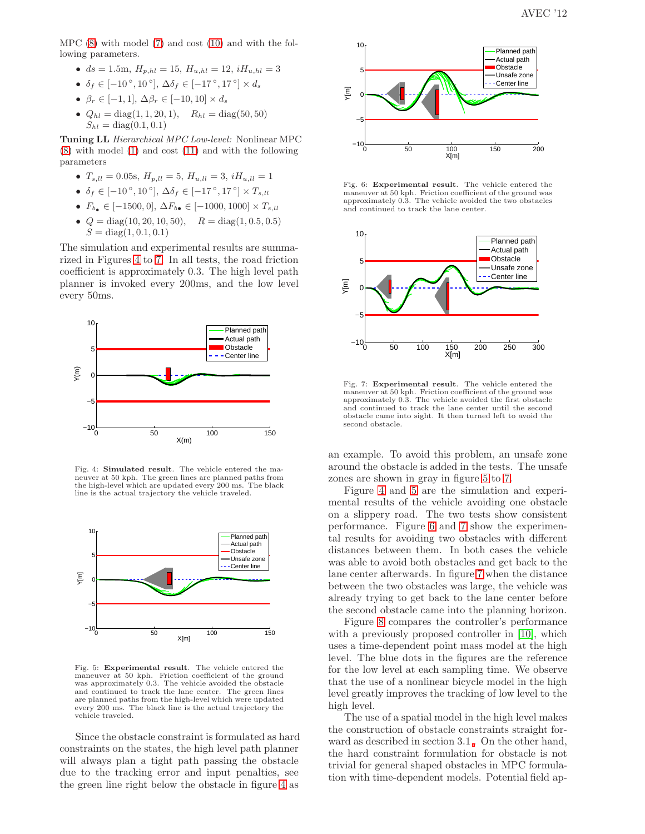MPC [\(8\)](#page-2-6) with model [\(7\)](#page-2-0) and cost [\(10\)](#page-3-1) and with the following parameters.

- $ds = 1.5m$ ,  $H_{p,hl} = 15$ ,  $H_{u,hl} = 12$ ,  $iH_{u,hl} = 3$
- $\delta_f \in [-10^\circ, 10^\circ], \, \Delta \delta_f \in [-17^\circ, 17^\circ] \times d_s$
- $\beta_r \in [-1, 1], \Delta\beta_r \in [-10, 10] \times d_s$
- $Q_{hl} = \text{diag}(1, 1, 20, 1),$   $R_{hl} = \text{diag}(50, 50)$  $S_{hl} = \text{diag}(0.1, 0.1)$

Tuning LL Hierarchical MPC Low-level: Nonlinear MPC [\(8\)](#page-2-6) with model [\(1\)](#page-1-1) and cost [\(11\)](#page-3-0) and with the following parameters

- $T_{s,ll} = 0.05$ s,  $H_{p,ll} = 5$ ,  $H_{u,ll} = 3$ ,  $iH_{u,ll} = 1$
- $\delta_f \in [-10^\circ, 10^\circ], \Delta \delta_f \in [-17^\circ, 17^\circ] \times T_{s,ll}$
- $F_{b} \in [-1500, 0], \, \Delta F_{b} \in [-1000, 1000] \times T_{s, ll}$
- $Q = \text{diag}(10, 20, 10, 50),$   $R = \text{diag}(1, 0.5, 0.5)$  $S = diag(1, 0.1, 0.1)$

The simulation and experimental results are summarized in Figures [4](#page-4-0) to [7.](#page-4-1) In all tests, the road friction coefficient is approximately 0.3. The high level path planner is invoked every 200ms, and the low level every 50ms.



<span id="page-4-0"></span>Fig. 4: Simulated result. The vehicle entered the maneuver at 50 kph. The green lines are planned paths from the high-level which are updated every 200 ms. The black line is the actual trajectory the vehicle traveled.



<span id="page-4-2"></span>Fig. 5: Experimental result. The vehicle entered the maneuver at 50 kph. Friction coefficient of the ground was approximately 0.3. The vehicle avoided the obstacle and continued to track the lane center. The green lines are planned paths from the high-level which were updated every 200 ms. The black line is the actual trajectory the vehicle traveled.

Since the obstacle constraint is formulated as hard constraints on the states, the high level path planner will always plan a tight path passing the obstacle due to the tracking error and input penalties, see the green line right below the obstacle in figure [4](#page-4-0) as



<span id="page-4-3"></span>Fig. 6: Experimental result. The vehicle entered the maneuver at 50 kph. Friction coefficient of the ground was approximately 0.3. The vehicle avoided the two obstacles and continued to track the lane center.



<span id="page-4-1"></span>Fig. 7: Experimental result. The vehicle entered the maneuver at 50 kph. Friction coefficient of the ground was approximately 0.3. The vehicle avoided the first obstacle and continued to track the lane center until the second obstacle came into sight. It then turned left to avoid the second obstacle.

an example. To avoid this problem, an unsafe zone around the obstacle is added in the tests. The unsafe zones are shown in gray in figure [5](#page-4-2) to [7.](#page-4-1)

Figure [4](#page-4-0) and [5](#page-4-2) are the simulation and experimental results of the vehicle avoiding one obstacle on a slippery road. The two tests show consistent performance. Figure [6](#page-4-3) and [7](#page-4-1) show the experimental results for avoiding two obstacles with different distances between them. In both cases the vehicle was able to avoid both obstacles and get back to the lane center afterwards. In figure [7](#page-4-1) when the distance between the two obstacles was large, the vehicle was already trying to get back to the lane center before the second obstacle came into the planning horizon.

Figure [8](#page-5-16) compares the controller's performance with a previously proposed controller in [\[10\]](#page-5-6), which uses a time-dependent point mass model at the high level. The blue dots in the figures are the reference for the low level at each sampling time. We observe that the use of a nonlinear bicycle model in the high level greatly improves the tracking of low level to the high level.

The use of a spatial model in the high level makes the construction of obstacle constraints straight forward as described in section 3.1 [.](#page-2-7) On the other hand, the hard constraint formulation for obstacle is not trivial for general shaped obstacles in MPC formulation with time-dependent models. Potential field ap-